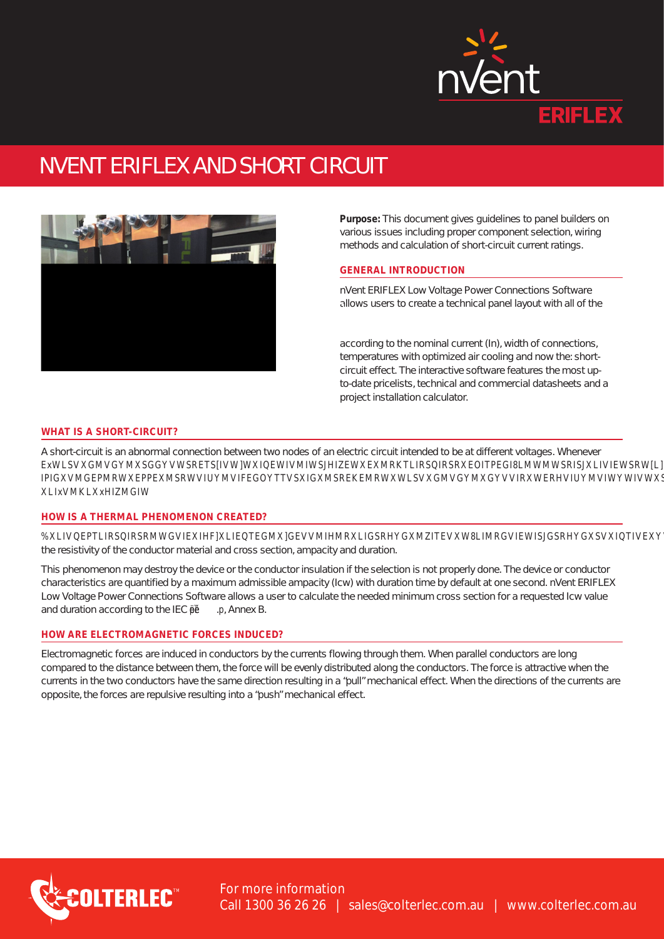

# NVENT ERIFLEX AND SHORT CIRCUIT

**Purpose:** This document gives guidelines to panel builders on various issues including proper component selection, wiring methods and calculation of short-circuit current ratings.

### **GENERAL INTRODUCTION**

nVent ERIFLEX Low Voltage Power Connections Software allows users to create a technical panel layout with all of the

according to the nominal current (In), width of connections, temperatures with optimized air cooling and now the: shortcircuit effect. The interactive software features the most upto-date pricelists, technical and commercial datasheets and a project installation calculator.

## **WHAT IS A SHORT-CIRCUIT?**

A short-circuit is an abnormal connection between two nodes of an electric circuit intended to be at different voltages. Whenever ExWLSVXMVMXSWWSRETS[VW]WXIEWIVMIWSJHWXEXMRKLIRSQRXEOITPE(BMWMWSRIS)XLIVIEWSRW[. IPIGVMGPMRWXEPPEXMSRWVIUMVIFEGYTVSXIGMSREKMRWXWLSVXMVGYXGVIRXWERMIUMVIWWIVWXSTVSTIVPJWPIGERMIRWXEPP XLIxVMKXx**h**mgv

### **HOW IS A THERMAL PHENOMENON CREATED?**

**%XLIVQEPTLIRSQIRSRMWGVIEXIHF]XLIEQTEGMX]GEVVMIHMRXLIGSRHYGXMZITEVXW8LIMRGVIEWISJGSRHYGXSVXIQTIVEXYVIMWPMROIHXS** the resistivity of the conductor material and cross section, ampacity and duration.

This phenomenon may destroy the device or the conductor insulation if the selection is not properly done. The device or conductor characteristics are quantified by a maximum admissible ampacity (Icw) with duration time by default at one second. nVent ERIFLEX Low Voltage Power Connections Software allows a user to calculate the needed minimum cross section for a requested Icw value and duration according to the IEC  $p\bar{Z}$  . p, Annex B.

# **HOW ARE ELECTROMAGNETIC FORCES INDUCED?**

Electromagnetic forces are induced in conductors by the currents flowing through them. When parallel conductors are long compared to the distance between them, the force will be evenly distributed along the conductors. The force is attractive when the currents in the two conductors have the same direction resulting in a "pull" mechanical effect. When the directions of the currents are opposite, the forces are repulsive resulting into a "push" mechanical effect.

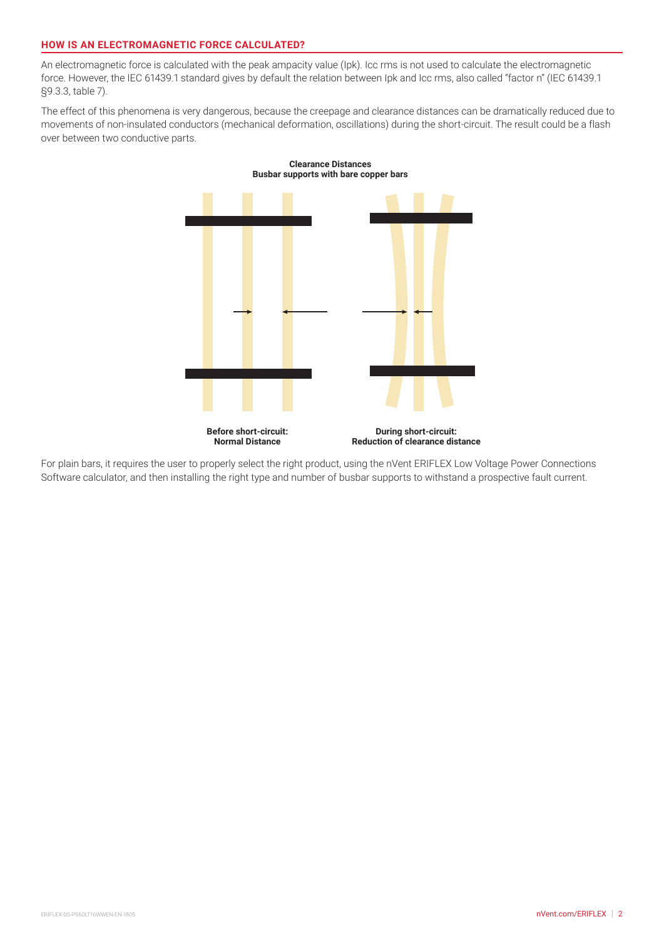# **HOW IS AN ELECTROMAGNETIC FORCE CALCULATED?**

An electromagnetic force is calculated with the peak ampacity value (Ipk). Icc rms is not used to calculate the electromagnetic force. However, the IEC 61439.1 standard gives by default the relation between Ipk and Icc rms, also called "factor n" (IEC 61439.1 §9.3.3, table 7).

The effect of this phenomena is very dangerous, because the creepage and clearance distances can be dramatically reduced due to movements of non-insulated conductors (mechanical deformation, oscillations) during the short-circuit. The result could be a flash over between two conductive parts.



For plain bars, it requires the user to properly select the right product, using the nVent ERIFLEX Low Voltage Power Connections Software calculator, and then installing the right type and number of busbar supports to withstand a prospective fault current.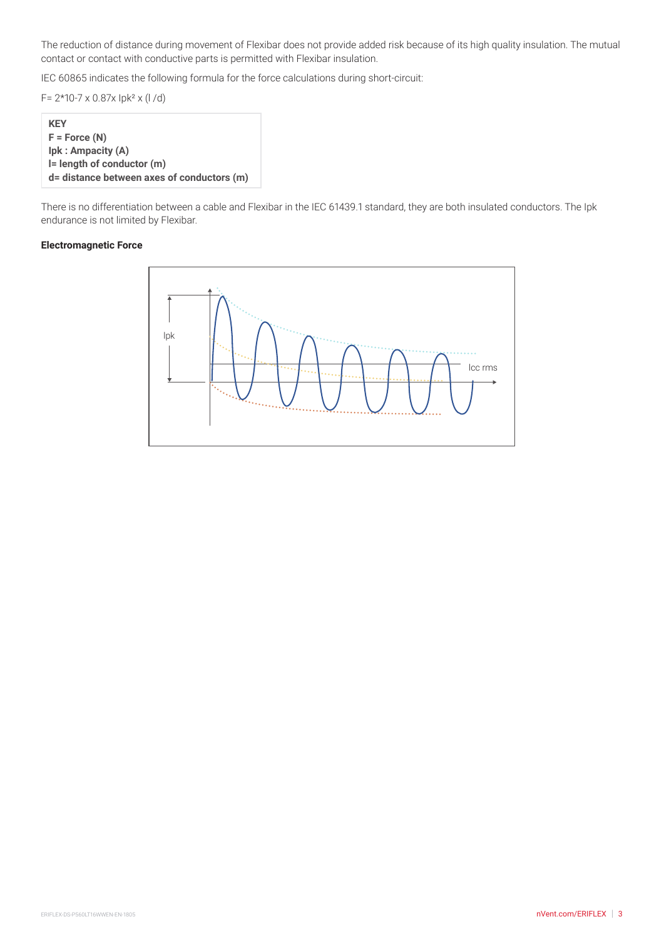The reduction of distance during movement of Flexibar does not provide added risk because of its high quality insulation. The mutual contact or contact with conductive parts is permitted with Flexibar insulation.

IEC 60865 indicates the following formula for the force calculations during short-circuit:

F= 2\*10-7 x 0.87x Ipk² x (l /d)

**KEY F = Force (N) Ipk : Ampacity (A) l= length of conductor (m) d= distance between axes of conductors (m)**

There is no differentiation between a cable and Flexibar in the IEC 61439.1 standard, they are both insulated conductors. The Ipk endurance is not limited by Flexibar.

#### **Electromagnetic Force**